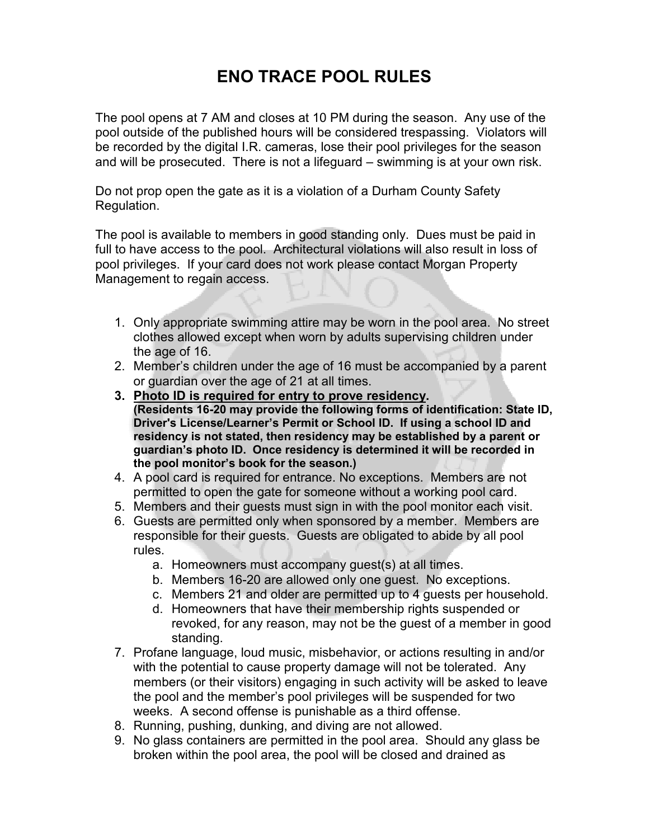## **ENO TRACE POOL RULES**

The pool opens at 7 AM and closes at 10 PM during the season. Any use of the pool outside of the published hours will be considered trespassing. Violators will be recorded by the digital I.R. cameras, lose their pool privileges for the season and will be prosecuted. There is not a lifeguard – swimming is at your own risk.

Do not prop open the gate as it is a violation of a Durham County Safety Regulation.

The pool is available to members in good standing only. Dues must be paid in full to have access to the pool. Architectural violations will also result in loss of pool privileges. If your card does not work please contact Morgan Property Management to regain access.

- 1. Only appropriate swimming attire may be worn in the pool area. No street clothes allowed except when worn by adults supervising children under the age of 16.
- 2. Member's children under the age of 16 must be accompanied by a parent or guardian over the age of 21 at all times.
- **3. Photo ID is required for entry to prove residency. (Residents 16-20 may provide the following forms of identification: State ID, Driver's License/Learner's Permit or School ID. If using a school ID and residency is not stated, then residency may be established by a parent or guardian's photo ID. Once residency is determined it will be recorded in the pool monitor's book for the season.)**
- 4. A pool card is required for entrance. No exceptions. Members are not permitted to open the gate for someone without a working pool card.
- 5. Members and their guests must sign in with the pool monitor each visit.
- 6. Guests are permitted only when sponsored by a member. Members are responsible for their guests. Guests are obligated to abide by all pool rules.
	- a. Homeowners must accompany guest(s) at all times.
	- b. Members 16-20 are allowed only one guest. No exceptions.
	- c. Members 21 and older are permitted up to 4 guests per household.
	- d. Homeowners that have their membership rights suspended or revoked, for any reason, may not be the guest of a member in good standing.
- 7. Profane language, loud music, misbehavior, or actions resulting in and/or with the potential to cause property damage will not be tolerated. Any members (or their visitors) engaging in such activity will be asked to leave the pool and the member's pool privileges will be suspended for two weeks. A second offense is punishable as a third offense.
- 8. Running, pushing, dunking, and diving are not allowed.
- 9. No glass containers are permitted in the pool area. Should any glass be broken within the pool area, the pool will be closed and drained as